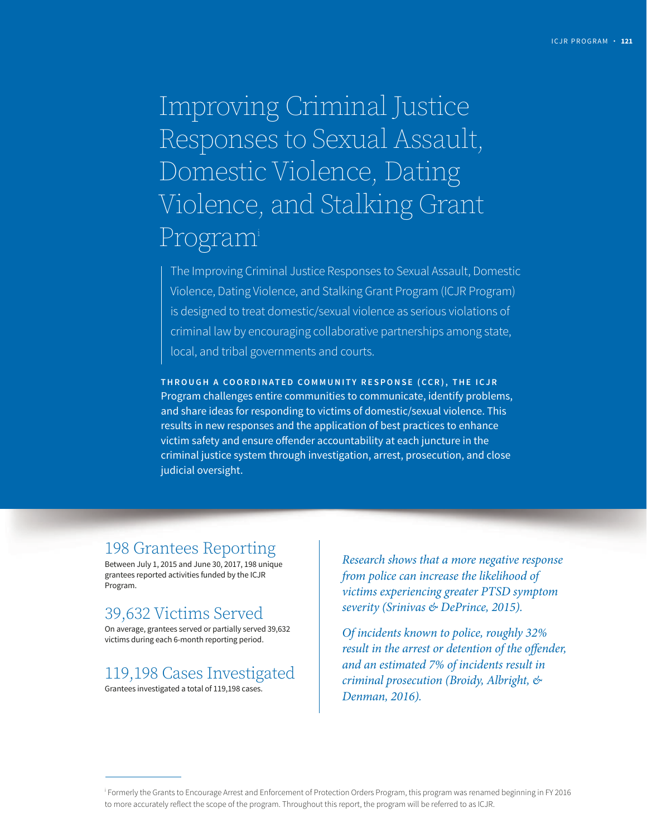# Improving Criminal Justice Responses to Sexual Assault, Domestic Violence, Dating Violence, and Stalking Grant Programi

The Improving Criminal Justice Responses to Sexual Assault, Domestic Violence, Dating Violence, and Stalking Grant Program (ICJR Program) is designed to treat domestic/sexual violence as serious violations of criminal law by encouraging collaborative partnerships among state, local, and tribal governments and courts.

**THROUGH A COORDINATED COMMUNITY RESPONSE (CCR), THE ICJR**  Program challenges entire communities to communicate, identify problems, and share ideas for responding to victims of domestic/sexual violence. This results in new responses and the application of best practices to enhance victim safety and ensure offender accountability at each juncture in the criminal justice system through investigation, arrest, prosecution, and close judicial oversight.

# 198 Grantees Reporting

Between July 1, 2015 and June 30, 2017, 198 unique grantees reported activities funded by the ICJR Program.

# 39,632 Victims Served

On average, grantees served or partially served 39,632 victims during each 6-month reporting period.

# 119,198 Cases Investigated

Grantees investigated a total of 119,198 cases.

*Research shows that a more negative response from police can increase the likelihood of victims experiencing greater PTSD symptom severity (Srinivas & DePrince, 2015).* 

*Of incidents known to police, roughly 32% result in the arrest or detention of the offender, and an estimated 7% of incidents result in criminal prosecution (Broidy, Albright, & Denman, 2016).* 

i Formerly the Grants to Encourage Arrest and Enforcement of Protection Orders Program, this program was renamed beginning in FY 2016 to more accurately reflect the scope of the program. Throughout this report, the program will be referred to as ICJR.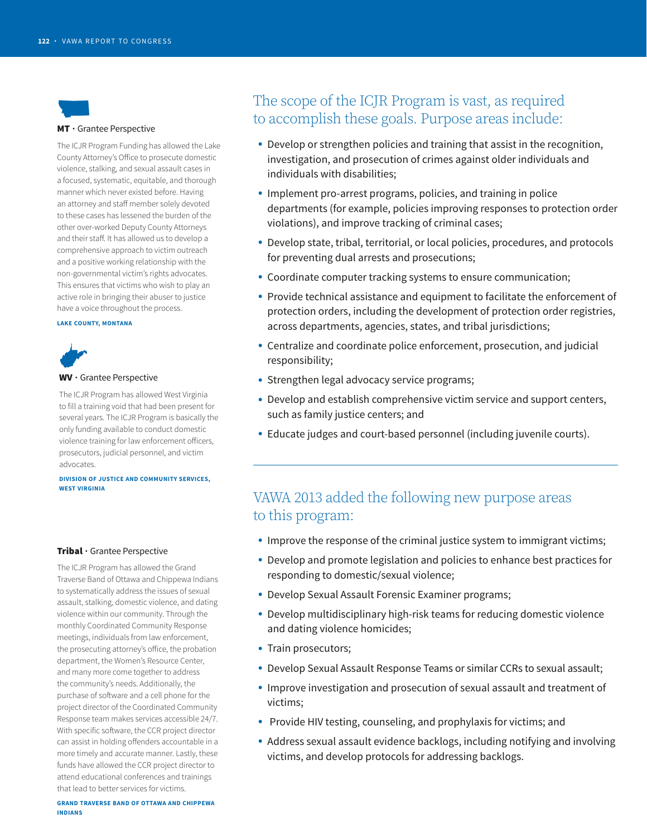

#### MT • Grantee Perspective

The ICJR Program Funding has allowed the Lake County Attorney's Ofice to prosecute domestic violence, stalking, and sexual assault cases in a focused, systematic, equitable, and thorough manner which never existed before. Having an attorney and staff member solely devoted to these cases has lessened the burden of the other over-worked Deputy County Attorneys and their staff. It has allowed us to develop a comprehensive approach to victim outreach and a positive working relationship with the non-governmental victim's rights advocates. This ensures that victims who wish to play an active role in bringing their abuser to justice have a voice throughout the process.

#### **LAKE COUNTY, MONTANA**



#### WV • Grantee Perspective

The ICJR Program has allowed West Virginia to fill a training void that had been present for several years. The ICJR Program is basically the only funding available to conduct domestic violence training for law enforcement officers, prosecutors, judicial personnel, and victim advocates.

**DIVISION OF JUSTICE AND COMMUNITY SERVICES, WEST VIRGINIA** 

#### Tribal · Grantee Perspective

The ICJR Program has allowed the Grand Traverse Band of Ottawa and Chippewa Indians to systematically address the issues of sexual assault, stalking, domestic violence, and dating violence within our community. Through the monthly Coordinated Community Response meetings, individuals from law enforcement, the prosecuting attorney's ofice, the probation department, the Women's Resource Center, and many more come together to address the community's needs. Additionally, the purchase of sofware and a cell phone for the project director of the Coordinated Community Response team makes services accessible 24/7. With specific software, the CCR project director can assist in holding ofenders accountable in a more timely and accurate manner. Lastly, these funds have allowed the CCR project director to attend educational conferences and trainings that lead to better services for victims.

### The scope of the ICJR Program is vast, as required to accomplish these goals. Purpose areas include:

- Develop or strengthen policies and training that assist in the recognition, investigation, and prosecution of crimes against older individuals and individuals with disabilities;
- Implement pro-arrest programs, policies, and training in police departments (for example, policies improving responses to protection order violations), and improve tracking of criminal cases;
- Develop state, tribal, territorial, or local policies, procedures, and protocols for preventing dual arrests and prosecutions;
- Coordinate computer tracking systems to ensure communication;
- Provide technical assistance and equipment to facilitate the enforcement of protection orders, including the development of protection order registries, across departments, agencies, states, and tribal jurisdictions;
- Centralize and coordinate police enforcement, prosecution, and judicial responsibility;
- Strengthen legal advocacy service programs;
- Develop and establish comprehensive victim service and support centers, such as family justice centers; and
- Educate judges and court-based personnel (including juvenile courts).

### VAWA 2013 added the following new purpose areas to this program:

- Improve the response of the criminal justice system to immigrant victims;
- Develop and promote legislation and policies to enhance best practices for responding to domestic/sexual violence;
- Develop Sexual Assault Forensic Examiner programs;
- Develop multidisciplinary high-risk teams for reducing domestic violence and dating violence homicides;
- Train prosecutors;
- Develop Sexual Assault Response Teams or similar CCRs to sexual assault;
- Improve investigation and prosecution of sexual assault and treatment of victims;
- Provide HIV testing, counseling, and prophylaxis for victims; and
- Address sexual assault evidence backlogs, including notifying and involving victims, and develop protocols for addressing backlogs.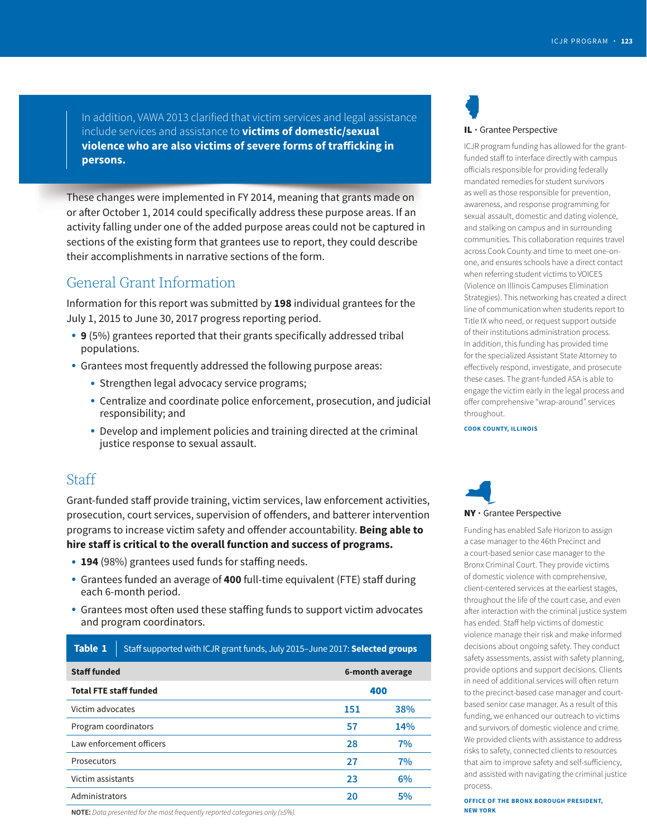In addition, VAWA 2013 clarified that victim services and legal assistance include services and assistance to **victims of domestic/sexual violence who are also victims of severe forms of trafficking in persons.** 

These changes were implemented in FY 2014, meaning that grants made on or after October 1, 2014 could specifically address these purpose areas. If an activity falling under one of the added purpose areas could not be captured in sections of the existing form that grantees use to report, they could describe their accomplishments in narrative sections of the form.

### General Grant Information

Information for this report was submitted by **198** individual grantees for the July 1, 2015 to June 30, 2017 progress reporting period.

- **9** (5%) grantees reported that their grants specifically addressed tribal populations.
- Grantees most frequently addressed the following purpose areas:
	- Strengthen legal advocacy service programs;
	- Centralize and coordinate police enforcement, prosecution, and judicial responsibility; and
	- Develop and implement policies and training directed at the criminal justice response to sexual assault.

### **Staff**

Grant-funded staff provide training, victim services, law enforcement activities, prosecution, court services, supervision of ofenders, and batterer intervention programs to increase victim safety and offender accountability. **Being able to hire staf is critical to the overall function and success of programs.** 

- 194 (98%) grantees used funds for staffing needs.
- Grantees funded an average of **400** full-time equivalent (FTE) staf during each 6-month period.
- Grantees most often used these staffing funds to support victim advocates and program coordinators.

| <b>Table 1</b>                | Staff supported with ICJR grant funds, July 2015-June 2017: Selected groups |                 |     |  |  |  |  |  |  |  |  |
|-------------------------------|-----------------------------------------------------------------------------|-----------------|-----|--|--|--|--|--|--|--|--|
| <b>Staff funded</b>           |                                                                             | 6-month average |     |  |  |  |  |  |  |  |  |
| <b>Total FTE staff funded</b> |                                                                             | 400             |     |  |  |  |  |  |  |  |  |
| Victim advocates              |                                                                             | 151             | 38% |  |  |  |  |  |  |  |  |
| Program coordinators          |                                                                             | 57              | 14% |  |  |  |  |  |  |  |  |
|                               | Law enforcement officers                                                    | 28              | 7%  |  |  |  |  |  |  |  |  |
| Prosecutors                   |                                                                             | 27              | 7%  |  |  |  |  |  |  |  |  |
| Victim assistants             |                                                                             | 23              | 6%  |  |  |  |  |  |  |  |  |
| Administrators                |                                                                             | 20              | 5%  |  |  |  |  |  |  |  |  |

# N IL • Grantee Perspective

ICJR program funding has allowed for the grantfunded staff to interface directly with campus oficials responsible for providing federally mandated remedies for student survivors as well as those responsible for prevention, awareness, and response programming for sexual assault, domestic and dating violence, and stalking on campus and in surrounding communities. This collaboration requires travel across Cook County and time to meet one-onone, and ensures schools have a direct contact when referring student victims to VOICES (Violence on Illinois Campuses Elimination Strategies). This networking has created a direct line of communication when students report to Title IX who need, or request support outside of their institutions administration process. In addition, this funding has provided time for the specialized Assistant State Attorney to efectively respond, investigate, and prosecute these cases. The grant-funded ASA is able to engage the victim early in the legal process and offer comprehensive "wrap-around" services throughout.

**COOK COUNTY, ILLINOIS** 



Funding has enabled Safe Horizon to assign a case manager to the 46th Precinct and a court-based senior case manager to the Bronx Criminal Court. They provide victims of domestic violence with comprehensive, client-centered services at the earliest stages, throughout the life of the court case, and even afer interaction with the criminal justice system has ended. Staff help victims of domestic violence manage their risk and make informed decisions about ongoing safety. They conduct safety assessments, assist with safety planning, provide options and support decisions. Clients in need of additional services will often return to the precinct-based case manager and courtbased senior case manager. As a result of this funding, we enhanced our outreach to victims and survivors of domestic violence and crime. We provided clients with assistance to address risks to safety, connected clients to resources that aim to improve safety and self-sufficiency, and assisted with navigating the criminal justice process.

**OFFICE OF THE BRONX BOROUGH PRESIDENT,** 

**NOTE:** Data presented for the most frequently reported categories only (≥5%).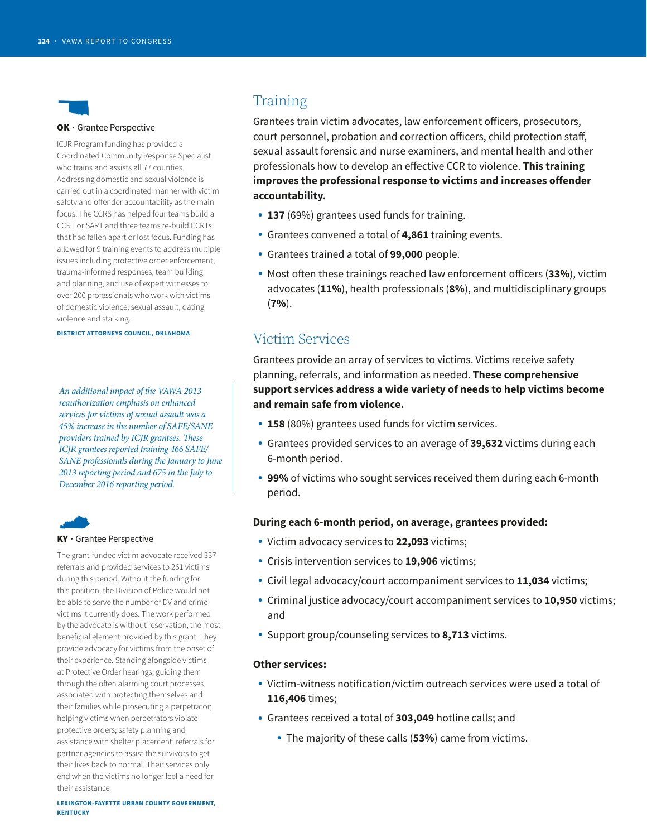

#### OK • Grantee Perspective

ICJR Program funding has provided a Coordinated Community Response Specialist who trains and assists all 77 counties. Addressing domestic and sexual violence is carried out in a coordinated manner with victim safety and offender accountability as the main focus. The CCRS has helped four teams build a CCRT or SART and three teams re-build CCRTs that had fallen apart or lost focus. Funding has allowed for 9 training events to address multiple issues including protective order enforcement, trauma-informed responses, team building and planning, and use of expert witnesses to over 200 professionals who work with victims of domestic violence, sexual assault, dating violence and stalking.

**DISTRICT ATTORNEYS COUNCIL, OKLAHOMA** 

*An additional impact of the VAWA 2013 reauthorization emphasis on enhanced services for victims of sexual assault was a 45% increase in the number of SAFE/SANE providers trained by ICJR grantees. These ICJR grantees reported training 466 SAFE/ SANE professionals during the January to June 2013 reporting period and 675 in the July to December 2016 reporting period.* 



# Q KY • Grantee Perspective

The grant-funded victim advocate received 337 referrals and provided services to 261 victims during this period. Without the funding for this position, the Division of Police would not be able to serve the number of DV and crime victims it currently does. The work performed by the advocate is without reservation, the most beneficial element provided by this grant. They provide advocacy for victims from the onset of their experience. Standing alongside victims at Protective Order hearings; guiding them through the often alarming court processes associated with protecting themselves and their families while prosecuting a perpetrator; helping victims when perpetrators violate protective orders; safety planning and assistance with shelter placement; referrals for partner agencies to assist the survivors to get their lives back to normal. Their services only end when the victims no longer feel a need for their assistance

### Training

Grantees train victim advocates, law enforcement officers, prosecutors, court personnel, probation and correction officers, child protection staff, sexual assault forensic and nurse examiners, and mental health and other professionals how to develop an efective CCR to violence. **This training improves the professional response to victims and increases offender accountability.** 

- **137** (69%) grantees used funds for training.
- Grantees convened a total of **4,861** training events.
- Grantees trained a total of **99,000** people.
- Most often these trainings reached law enforcement officers (33%), victim advocates (**11%**), health professionals (**8%**), and multidisciplinary groups (**7%**).

### Victim Services

Grantees provide an array of services to victims. Victims receive safety planning, referrals, and information as needed. **These comprehensive support services address a wide variety of needs to help victims become and remain safe from violence.** 

- **158** (80%) grantees used funds for victim services.
- Grantees provided services to an average of **39,632** victims during each 6-month period.
- **99%** of victims who sought services received them during each 6-month period.

#### **During each 6-month period, on average, grantees provided:**

- Victim advocacy services to **22,093** victims;
- Crisis intervention services to **19,906** victims;
- Civil legal advocacy/court accompaniment services to **11,034** victims;
- Criminal justice advocacy/court accompaniment services to **10,950** victims; and
- Support group/counseling services to **8,713** victims.

#### **Other services:**

- Victim-witness notification/victim outreach services were used a total of **116,406** times;
- Grantees received a total of **303,049** hotline calls; and
	- The majority of these calls (**53%**) came from victims.

**LEXINGTON-FAYETTE URBAN COUNTY GOVERNMENT, KENTUCKY**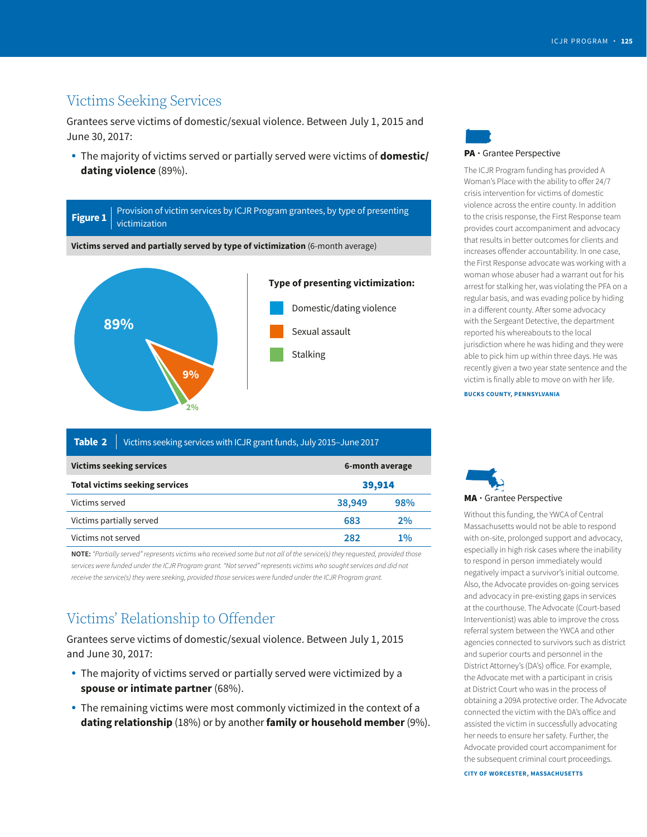### Victims Seeking Services

Grantees serve victims of domestic/sexual violence. Between July 1, 2015 and June 30, 2017:

 The majority of victims served or partially served were victims of **domestic/ dating violence** (89%).



| Table 2                                            | Victims seeking services with ICJR grant funds, July 2015-June 2017 |        |        |  |  |  |  |  |  |  |  |
|----------------------------------------------------|---------------------------------------------------------------------|--------|--------|--|--|--|--|--|--|--|--|
| <b>Victims seeking services</b><br>6-month average |                                                                     |        |        |  |  |  |  |  |  |  |  |
|                                                    | <b>Total victims seeking services</b>                               |        | 39,914 |  |  |  |  |  |  |  |  |
| Victims served                                     |                                                                     | 38,949 | 98%    |  |  |  |  |  |  |  |  |
| Victims partially served                           |                                                                     | 683    | 2%     |  |  |  |  |  |  |  |  |
| Victims not served                                 |                                                                     | 282    | 1%     |  |  |  |  |  |  |  |  |

**NOTE:** "Partially served" represents victims who received some but not all of the service(s) they requested, provided those services were funded under the ICJR Program grant. "Not served" represents victims who sought services and did not receive the service(s) they were seeking, provided those services were funded under the ICJR Program grant.

### Victims' Relationship to Offender

Grantees serve victims of domestic/sexual violence. Between July 1, 2015 and June 30, 2017:

- The majority of victims served or partially served were victimized by a **spouse or intimate partner** (68%).
- The remaining victims were most commonly victimized in the context of a **dating relationship** (18%) or by another **family or household member** (9%).

# l PA • Grantee Perspective

The ICJR Program funding has provided A Woman's Place with the ability to offer 24/7 crisis intervention for victims of domestic violence across the entire county. In addition to the crisis response, the First Response team provides court accompaniment and advocacy that results in better outcomes for clients and increases offender accountability. In one case, the First Response advocate was working with a woman whose abuser had a warrant out for his arrest for stalking her, was violating the PFA on a regular basis, and was evading police by hiding in a different county. After some advocacy with the Sergeant Detective, the department reported his whereabouts to the local jurisdiction where he was hiding and they were able to pick him up within three days. He was recently given a two year state sentence and the victim is finally able to move on with her life.

**BUCKS COUNTY, PENNSYLVANIA** 



Without this funding, the YWCA of Central Massachusetts would not be able to respond with on-site, prolonged support and advocacy, especially in high risk cases where the inability to respond in person immediately would negatively impact a survivor's initial outcome. Also, the Advocate provides on-going services and advocacy in pre-existing gaps in services at the courthouse. The Advocate (Court-based Interventionist) was able to improve the cross referral system between the YWCA and other agencies connected to survivors such as district and superior courts and personnel in the District Attorney's (DA's) ofice. For example, the Advocate met with a participant in crisis at District Court who was in the process of obtaining a 209A protective order. The Advocate connected the victim with the DA's office and assisted the victim in successfully advocating her needs to ensure her safety. Further, the Advocate provided court accompaniment for the subsequent criminal court proceedings.

**CITY OF WORCESTER, MASSACHUSETTS**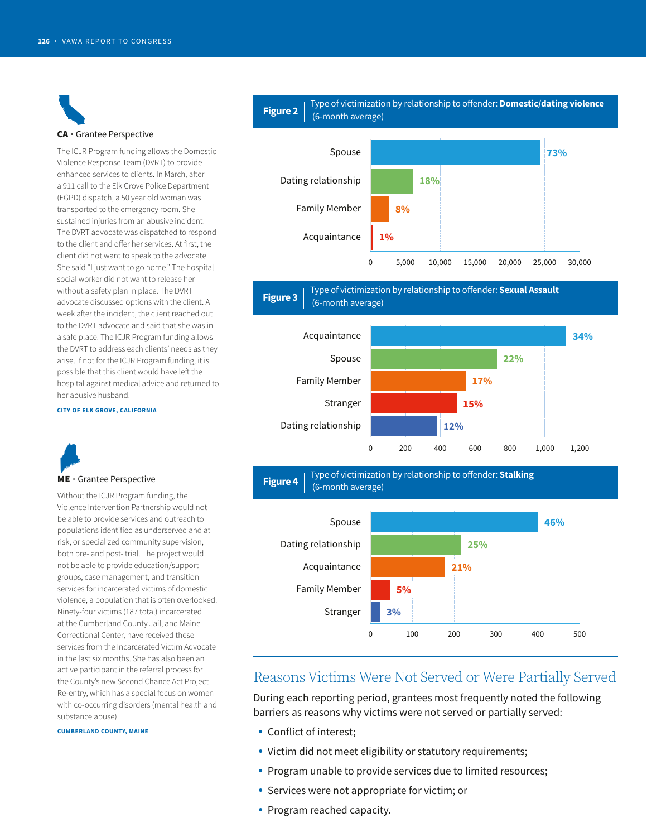CA • Grantee Perspective

#### The ICJR Program funding allows the Domestic Violence Response Team (DVRT) to provide enhanced services to clients. In March, after a 911 call to the Elk Grove Police Department (EGPD) dispatch, a 50 year old woman was transported to the emergency room. She sustained injuries from an abusive incident. The DVRT advocate was dispatched to respond to the client and offer her services. At first, the client did not want to speak to the advocate. She said "I just want to go home." The hospital social worker did not want to release her without a safety plan in place. The DVRT advocate discussed options with the client. A week after the incident, the client reached out to the DVRT advocate and said that she was in a safe place. The ICJR Program funding allows the DVRT to address each clients' needs as they arise. If not for the ICJR Program funding, it is possible that this client would have left the hospital against medical advice and returned to her abusive husband.

#### **CITY OF ELK GROVE, CALIFORNIA**



#### ME • Grantee Perspective

Without the ICJR Program funding, the Violence Intervention Partnership would not be able to provide services and outreach to populations identified as underserved and at risk, or specialized community supervision, both pre- and post- trial. The project would not be able to provide education/support groups, case management, and transition services for incarcerated victims of domestic violence, a population that is often overlooked. Ninety-four victims (187 total) incarcerated at the Cumberland County Jail, and Maine Correctional Center, have received these services from the Incarcerated Victim Advocate in the last six months. She has also been an active participant in the referral process for the County's new Second Chance Act Project Re-entry, which has a special focus on women with co-occurring disorders (mental health and substance abuse).

#### **CUMBERLAND COUNTY, MAINE**

# **Figure 2** | Type of victimization by relationship to offender: **Domestic/dating violence Figure 2** | (6-month average)







**Figure 4**  $\left| \begin{array}{c} \text{Type of victimization by relationship to offer.} \\ \text{(6-month average)} \end{array} \right|$ 



### Reasons Victims Were Not Served or Were Partially Served

During each reporting period, grantees most frequently noted the following barriers as reasons why victims were not served or partially served:

- Conflict of interest;
- Victim did not meet eligibility or statutory requirements;
- Program unable to provide services due to limited resources;
- Services were not appropriate for victim; or
- Program reached capacity.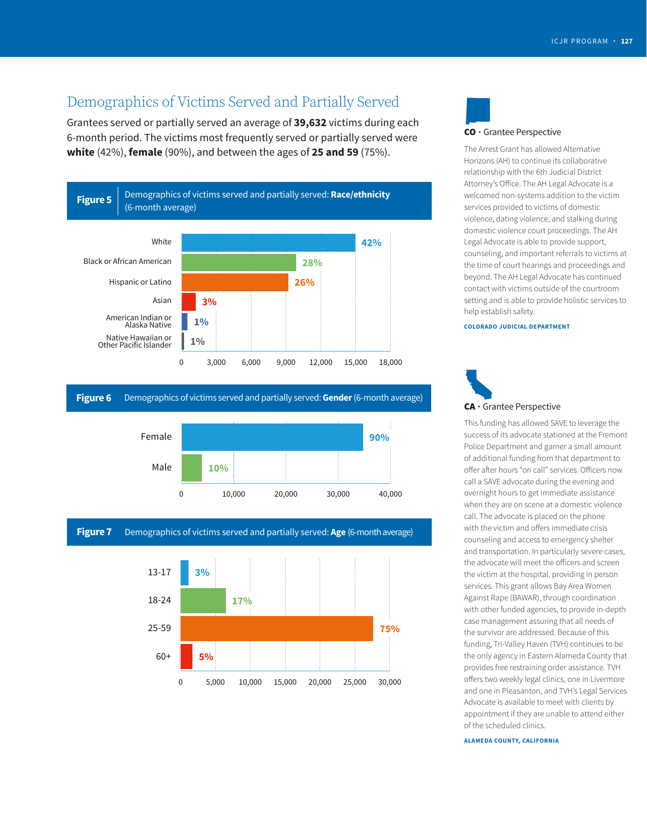### Demographics of Victims Served and Partially Served

Grantees served or partially served an average of **39,632** victims during each 6-month period. The victims most frequently served or partially served were **white** (42%), **female** (90%), and between the ages of **25 and 59** (75%).



#### **Figure 6** Demographics of victims served and partially served: **Gender** (6-month average)

![](_page_6_Figure_5.jpeg)

#### **Figure 7** Demographics of victims served and partially served: Age (6-month average)

![](_page_6_Figure_7.jpeg)

![](_page_6_Picture_8.jpeg)

The Arrest Grant has allowed Alternative Horizons (AH) to continue its collaborative relationship with the 6th Judicial District Attorney's Ofice. The AH Legal Advocate is a welcomed non-systems addition to the victim services provided to victims of domestic violence, dating violence, and stalking during domestic violence court proceedings. The AH Legal Advocate is able to provide support, counseling, and important referrals to victims at the time of court hearings and proceedings and beyond. The AH Legal Advocate has continued contact with victims outside of the courtroom setting and is able to provide holistic services to help establish safety.

#### **COLORADO JUDICIAL DEPARTMENT**

![](_page_6_Picture_11.jpeg)

This funding has allowed SAVE to leverage the success of its advocate stationed at the Fremont Police Department and garner a small amount of additional funding from that department to offer after hours "on call" services. Officers now call a SAVE advocate during the evening and overnight hours to get immediate assistance when they are on scene at a domestic violence call. The advocate is placed on the phone with the victim and offers immediate crisis counseling and access to emergency shelter and transportation. In particularly severe cases, the advocate will meet the oficers and screen the victim at the hospital, providing in person services. This grant allows Bay Area Women Against Rape (BAWAR), through coordination with other funded agencies, to provide in-depth case management assuring that all needs of the survivor are addressed. Because of this funding, Tri-Valley Haven (TVH) continues to be the only agency in Eastern Alameda County that provides free restraining order assistance. TVH offers two weekly legal clinics, one in Livermore and one in Pleasanton, and TVH's Legal Services Advocate is available to meet with clients by appointment if they are unable to attend either of the scheduled clinics.

**ALAMEDA COUNTY, CALIFORNIA**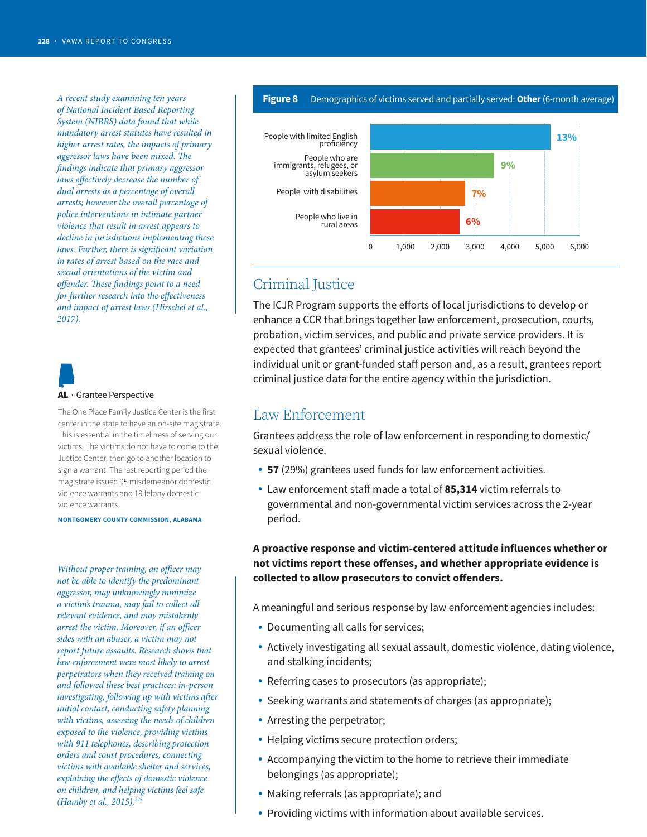*A recent study examining ten years of National Incident Based Reporting System (NIBRS) data found that while mandatory arrest statutes have resulted in higher arrest rates, the impacts of primary aggressor laws have been mixed. The fndings indicate that primary aggressor laws efectively decrease the number of dual arrests as a percentage of overall arrests; however the overall percentage of police interventions in intimate partner violence that result in arrest appears to decline in jurisdictions implementing these*  laws. Further, there is significant variation *in rates of arrest based on the race and sexual orientations of the victim and offender. These findings point to a need* for further research into the effectiveness *and impact of arrest laws (Hirschel et al., 2017).* 

B AL · Grantee Perspective

The One Place Family Justice Center is the first center in the state to have an on-site magistrate. This is essential in the timeliness of serving our victims. The victims do not have to come to the Justice Center, then go to another location to sign a warrant. The last reporting period the magistrate issued 95 misdemeanor domestic violence warrants and 19 felony domestic violence warrants.

**MONTGOMERY COUNTY COMMISSION, ALABAMA** 

*Without proper training, an officer may not be able to identify the predominant aggressor, may unknowingly minimize a victim's trauma, may fail to collect all relevant evidence, and may mistakenly arrest the victim. Moreover, if an officer sides with an abuser, a victim may not report future assaults. Research shows that law enforcement were most likely to arrest perpetrators when they received training on and followed these best practices: in-person investigating, following up with victims after initial contact, conducting safety planning with victims, assessing the needs of children exposed to the violence, providing victims with 911 telephones, describing protection orders and court procedures, connecting victims with available shelter and services, explaining the efects of domestic violence on children, and helping victims feel safe (Hamby et al., 2015).225* 

![](_page_7_Figure_6.jpeg)

0 1,000 2,000 3,000 4,000 5,000 6,000

### Criminal Justice

The ICJR Program supports the efforts of local jurisdictions to develop or enhance a CCR that brings together law enforcement, prosecution, courts, probation, victim services, and public and private service providers. It is expected that grantees' criminal justice activities will reach beyond the individual unit or grant-funded staff person and, as a result, grantees report criminal justice data for the entire agency within the jurisdiction.

### Law Enforcement

Grantees address the role of law enforcement in responding to domestic/ sexual violence.

- **57** (29%) grantees used funds for law enforcement activities.
- Law enforcement staff made a total of 85,314 victim referrals to governmental and non-governmental victim services across the 2-year period.

**A proactive response and victim-centered attitude influences whether or not victims report these ofenses, and whether appropriate evidence is**  collected to allow prosecutors to convict offenders.

A meaningful and serious response by law enforcement agencies includes:

- Documenting all calls for services;
- Actively investigating all sexual assault, domestic violence, dating violence, and stalking incidents;
- Referring cases to prosecutors (as appropriate);
- Seeking warrants and statements of charges (as appropriate);
- Arresting the perpetrator;
- Helping victims secure protection orders;
- Accompanying the victim to the home to retrieve their immediate belongings (as appropriate);
- Making referrals (as appropriate); and
- Providing victims with information about available services.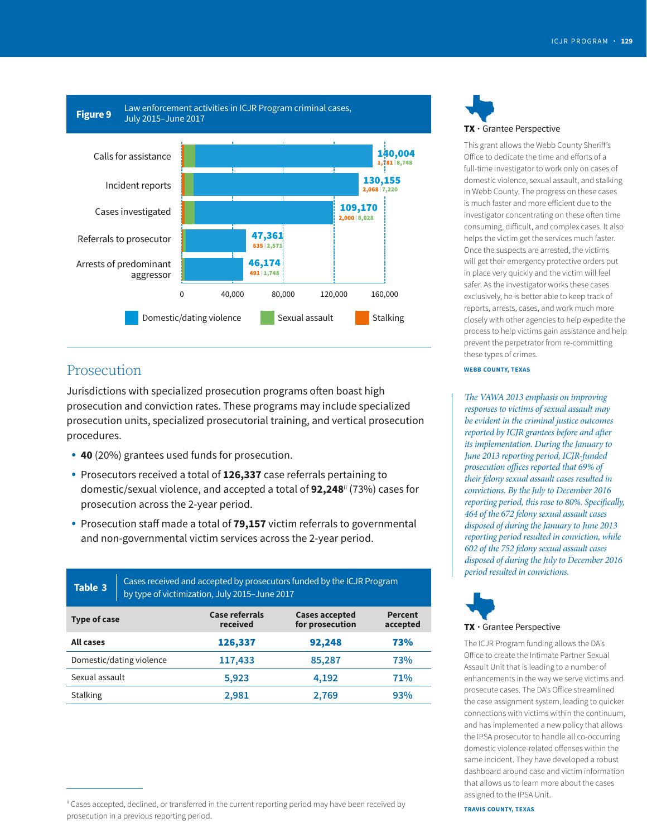![](_page_8_Figure_1.jpeg)

### Prosecution

Jurisdictions with specialized prosecution programs often boast high prosecution and conviction rates. These programs may include specialized prosecution units, specialized prosecutorial training, and vertical prosecution procedures.

- **40** (20%) grantees used funds for prosecution.
- Prosecutors received a total of **126,337** case referrals pertaining to domestic/sexual violence, and accepted a total of **92,248**ii (73%) cases for prosecution across the 2-year period.
- Prosecution staff made a total of **79,157** victim referrals to governmental and non-governmental victim services across the 2-year period.

| Table 3                  | Cases received and accepted by prosecutors funded by the ICJR Program<br>by type of victimization, July 2015-June 2017 |                            |                                          |                            |  |  |  |  |  |  |  |
|--------------------------|------------------------------------------------------------------------------------------------------------------------|----------------------------|------------------------------------------|----------------------------|--|--|--|--|--|--|--|
| Type of case             |                                                                                                                        | Case referrals<br>received | <b>Cases accepted</b><br>for prosecution | <b>Percent</b><br>accepted |  |  |  |  |  |  |  |
| <b>All cases</b>         |                                                                                                                        | 126,337                    | 92,248                                   | 73%                        |  |  |  |  |  |  |  |
| Domestic/dating violence |                                                                                                                        | 117,433                    | 85,287                                   | 73%                        |  |  |  |  |  |  |  |
| Sexual assault           |                                                                                                                        | 5,923                      | 4,192                                    | 71%                        |  |  |  |  |  |  |  |
| <b>Stalking</b>          |                                                                                                                        | 2,981                      | 93%<br>2,769                             |                            |  |  |  |  |  |  |  |

q **TX**  $\cdot$  Grantee Perspective

This grant allows the Webb County Sherif's Ofice to dedicate the time and eforts of a full-time investigator to work only on cases of domestic violence, sexual assault, and stalking in Webb County. The progress on these cases is much faster and more eficient due to the investigator concentrating on these often time consuming, dificult, and complex cases. It also helps the victim get the services much faster. Once the suspects are arrested, the victims will get their emergency protective orders put in place very quickly and the victim will feel safer. As the investigator works these cases exclusively, he is better able to keep track of reports, arrests, cases, and work much more closely with other agencies to help expedite the process to help victims gain assistance and help prevent the perpetrator from re-committing these types of crimes.

#### **WEBB COUNTY, TEXAS**

*prosecution offices reported that 69% of The VAWA 2013 emphasis on improving responses to victims of sexual assault may be evident in the criminal justice outcomes reported by ICJR grantees before and after its implementation. During the January to June 2013 reporting period, ICJR-funded their felony sexual assault cases resulted in convictions. By the July to December 2016 reporting period, this rose to 80%. Specifically, 464 of the 672 felony sexual assault cases disposed of during the January to June 2013 reporting period resulted in conviction, while 602 of the 752 felony sexual assault cases disposed of during the July to December 2016 period resulted in convictions.* 

![](_page_8_Picture_12.jpeg)

The ICJR Program funding allows the DA's Office to create the Intimate Partner Sexual<br>Assault Unit that is leading to a number of enhancements in the way we serve victims and prosecute cases. The DA's Office streamlined the case assignment system, leading to quicker connections with victims within the continuum, and has implemented a new policy that allows the IPSA prosecutor to handle all co-occurring domestic violence-related ofenses within the same incident. They have developed a robust dashboard around case and victim information that allows us to learn more about the cases assigned to the IPSA Unit.

ii Cases accepted, declined, or transferred in the current reporting period may have been received by prosecution in a previous reporting period.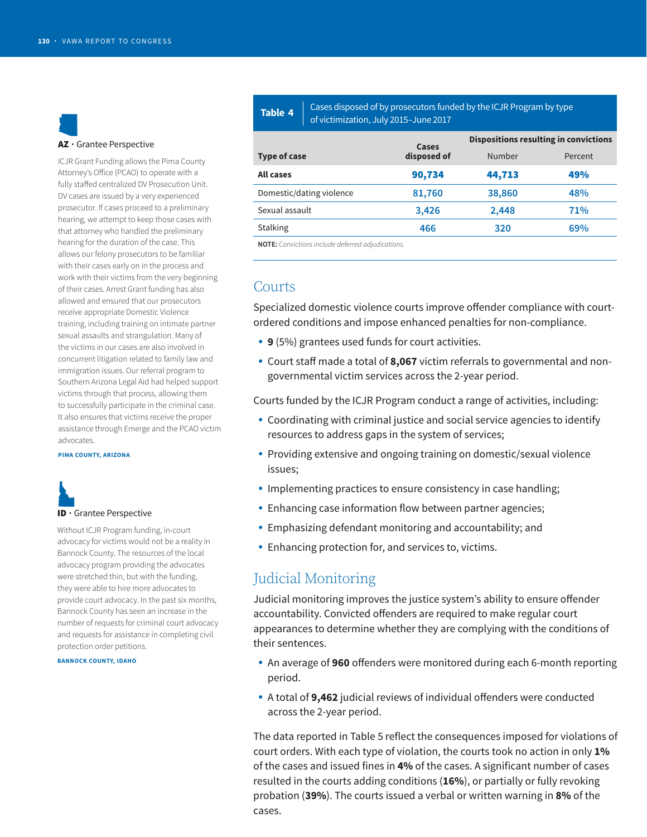# D AZ · Grantee Perspective

ICJR Grant Funding allows the Pima County Attorney's Office (PCAO) to operate with a fully stafed centralized DV Prosecution Unit. DV cases are issued by a very experienced prosecutor. If cases proceed to a preliminary hearing, we attempt to keep those cases with that attorney who handled the preliminary hearing for the duration of the case. This **NOTE:** Convictions include deferred adjudications. allows our felony prosecutors to be familiar with their cases early on in the process and work with their victims from the very beginning of their cases. Arrest Grant funding has also allowed and ensured that our prosecutors receive appropriate Domestic Violence training, including training on intimate partner sexual assaults and strangulation. Many of the victims in our cases are also involved in concurrent litigation related to family law and immigration issues. Our referral program to Southern Arizona Legal Aid had helped support victims through that process, allowing them to successfully participate in the criminal case. It also ensures that victims receive the proper assistance through Emerge and the PCAO victim advocates.

#### **PIMA COUNTY, ARIZONA**

# M ID • Grantee Perspective

Without ICJR Program funding, in-court advocacy for victims would not be a reality in Bannock County. The resources of the local advocacy program providing the advocates were stretched thin, but with the funding, they were able to hire more advocates to provide court advocacy. In the past six months, Bannock County has seen an increase in the number of requests for criminal court advocacy and requests for assistance in completing civil protection order petitions.

#### **BANNOCK COUNTY, IDAHO**

**Table 4** Cases disposed of by prosecutors funded by the ICJR Program by type of victimization, July 2015–June 2017

|                          | Cases       | <b>Dispositions resulting in convictions</b> |         |  |  |  |
|--------------------------|-------------|----------------------------------------------|---------|--|--|--|
| Type of case             | disposed of | Number                                       | Percent |  |  |  |
| All cases                | 90,734      | 44,713                                       | 49%     |  |  |  |
| Domestic/dating violence | 81,760      | 38,860                                       | 48%     |  |  |  |
| Sexual assault           | 3,426       | 2,448                                        | 71%     |  |  |  |
| <b>Stalking</b>          | 466         | 320                                          | 69%     |  |  |  |
|                          |             |                                              |         |  |  |  |

### Courts

Specialized domestic violence courts improve ofender compliance with courtordered conditions and impose enhanced penalties for non-compliance.

- **9** (5%) grantees used funds for court activities.
- Court staff made a total of 8,067 victim referrals to governmental and nongovernmental victim services across the 2-year period.

Courts funded by the ICJR Program conduct a range of activities, including:

- Coordinating with criminal justice and social service agencies to identify resources to address gaps in the system of services;
- Providing extensive and ongoing training on domestic/sexual violence issues;
- Implementing practices to ensure consistency in case handling;
- Enhancing case information flow between partner agencies;
- Emphasizing defendant monitoring and accountability; and
- Enhancing protection for, and services to, victims.

### Judicial Monitoring

Judicial monitoring improves the justice system's ability to ensure offender accountability. Convicted offenders are required to make regular court appearances to determine whether they are complying with the conditions of their sentences.

- An average of **960** offenders were monitored during each 6-month reporting period.
- A total of **9,462** judicial reviews of individual ofenders were conducted across the 2-year period.

The data reported in Table 5 reflect the consequences imposed for violations of court orders. With each type of violation, the courts took no action in only **1%**  of the cases and issued fines in **4%** of the cases. A significant number of cases resulted in the courts adding conditions (**16%**), or partially or fully revoking probation (**39%**). The courts issued a verbal or written warning in **8%** of the cases.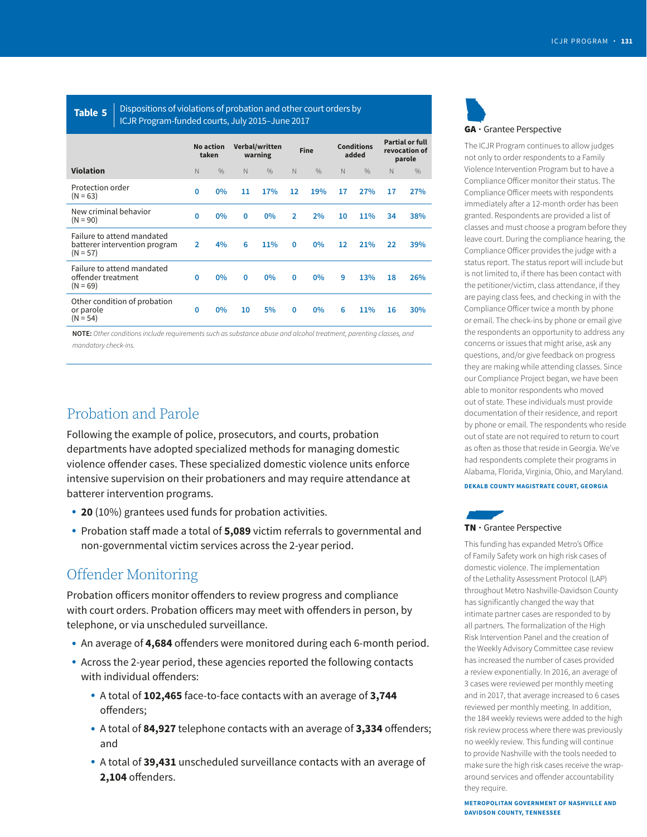![](_page_10_Figure_1.jpeg)

**Table 5** Dispositions of violations of probation and other court orders by ICJR Program-funded courts, July 2015–June 2017

|                                                                           |    | <b>No action</b><br>taken |          | Verbal/written<br>warning |              | <b>Fine</b>   |                   | <b>Conditions</b><br>added |    | <b>Partial or full</b><br>revocation of<br>parole |  |  |  |
|---------------------------------------------------------------------------|----|---------------------------|----------|---------------------------|--------------|---------------|-------------------|----------------------------|----|---------------------------------------------------|--|--|--|
| <b>Violation</b>                                                          | N. | $\frac{0}{0}$             | N        | $\frac{0}{0}$             | N.           | $\frac{0}{0}$ | N                 | $\frac{0}{0}$              | N  | $\frac{0}{0}$                                     |  |  |  |
| Protection order<br>$(N = 63)$                                            | 0  | $0\%$                     | 11       | 17%                       | 12           | <b>19%</b>    | 17                | 27%                        | 17 | 27%                                               |  |  |  |
| New criminal behavior<br>$(N = 90)$                                       | 0  | $0\%$                     | $\Omega$ | $0\%$                     | $\mathbf{p}$ | 2%            | 10                | 11%                        | 34 | 38%                                               |  |  |  |
| Failure to attend mandated<br>batterer intervention program<br>$(N = 57)$ |    | 4%                        | 6        | 11%                       | 0            | $0\%$         | $12 \overline{ }$ | 21%                        | 22 | 39%                                               |  |  |  |
| Failure to attend mandated<br>offender treatment<br>$(N = 69)$            | 0  | 0%                        | $\Omega$ | $0\%$                     | 0            | $0\%$         | 9                 | 13%                        | 18 | 26%                                               |  |  |  |
| Other condition of probation<br>or parole<br>$(N = 54)$                   | 0  | 0%                        | 10       | 5%                        | 0            | $0\%$         | 6                 | 11%                        | 16 | 30%                                               |  |  |  |

**NOTE:** Other conditions include requirements such as substance abuse and alcohol treatment, parenting classes, and mandatory check-ins.

### Probation and Parole

Following the example of police, prosecutors, and courts, probation departments have adopted specialized methods for managing domestic violence ofender cases. These specialized domestic violence units enforce intensive supervision on their probationers and may require attendance at batterer intervention programs.

- **20** (10%) grantees used funds for probation activities.
- Probation staff made a total of **5,089** victim referrals to governmental and non-governmental victim services across the 2-year period.

### Offender Monitoring

Probation officers monitor offenders to review progress and compliance with court orders. Probation officers may meet with offenders in person, by telephone, or via unscheduled surveillance.

- An average of 4,684 offenders were monitored during each 6-month period.
- Across the 2-year period, these agencies reported the following contacts with individual offenders:
	- A total of **102,465** face-to-face contacts with an average of **3,744**  offenders;
	- A total of 84,927 telephone contacts with an average of 3,334 offenders; and
	- A total of **39,431** unscheduled surveillance contacts with an average of **2,104** offenders.

![](_page_10_Picture_16.jpeg)

The ICJR Program continues to allow judges not only to order respondents to a Family Violence Intervention Program but to have a Compliance Officer monitor their status. The<br>Compliance Officer meets with respondents<br>immediately after a 12-month order has been Failure to attend mandated mandated mandated compliance Officer provides the judge with a status report. The status report will include but is not limited to, if there has been contact with the petitioner/victim, class attendance, if they are paying class fees, and checking in with the Compliance Officer twice a month by phone or email. The check-ins by phone or email give the respondents an opportunity to address any concerns or issues that might arise, ask any questions, and/or give feedback on progress they are making while attending classes. Since our Compliance Project began, we have been able to monitor respondents who moved out of state. These individuals must provide documentation of their residence, and report by phone or email. The respondents who reside out of state are not required to return to court as often as those that reside in Georgia. We've had respondents complete their programs in Alabama, Florida, Virginia, Ohio, and Maryland.

#### **DEKALB COUNTY MAGISTRATE COURT, GEORGIA**

![](_page_10_Picture_19.jpeg)

This funding has expanded Metro's Office of Family Safety work on high risk cases of domestic violence. The implementation of the Lethality Assessment Protocol (LAP) throughout Metro Nashville-Davidson County has significantly changed the way that intimate partner cases are responded to by all partners. The formalization of the High Risk Intervention Panel and the creation of the Weekly Advisory Committee case review has increased the number of cases provided a review exponentially. In 2016, an average of 3 cases were reviewed per monthly meeting and in 2017, that average increased to 6 cases reviewed per monthly meeting. In addition, the 184 weekly reviews were added to the high risk review process where there was previously no weekly review. This funding will continue to provide Nashville with the tools needed to make sure the high risk cases receive the wraparound services and offender accountability they require.

**METROPOLITAN GOVERNMENT OF NASHVILLE AND DAVIDSON COUNTY, TENNESSEE**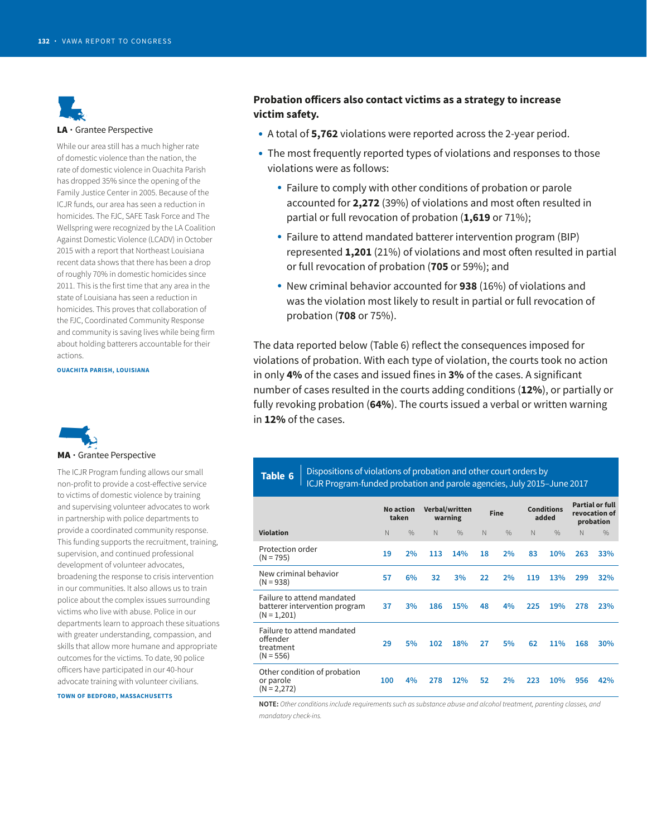![](_page_11_Picture_1.jpeg)

While our area still has a much higher rate of domestic violence than the nation, the rate of domestic violence in Ouachita Parish has dropped 35% since the opening of the Family Justice Center in 2005. Because of the ICJR funds, our area has seen a reduction in homicides. The FJC, SAFE Task Force and The Wellspring were recognized by the LA Coalition Against Domestic Violence (LCADV) in October 2015 with a report that Northeast Louisiana recent data shows that there has been a drop of roughly 70% in domestic homicides since 2011. This is the first time that any area in the state of Louisiana has seen a reduction in homicides. This proves that collaboration of the FJC, Coordinated Community Response and community is saving lives while being firm about holding batterers accountable for their actions.

**OUACHITA PARISH, LOUISIANA** 

![](_page_11_Picture_4.jpeg)

The ICJR Program funding allows our small non-profit to provide a cost-effective service to victims of domestic violence by training and supervising volunteer advocates to work in partnership with police departments to provide a coordinated community response. This funding supports the recruitment, training, supervision, and continued professional development of volunteer advocates, broadening the response to crisis intervention in our communities. It also allows us to train police about the complex issues surrounding victims who live with abuse. Police in our departments learn to approach these situations with greater understanding, compassion, and skills that allow more humane and appropriate outcomes for the victims. To date, 90 police officers have participated in our 40-hour advocate training with volunteer civilians.

**TOWN OF BEDFORD, MASSACHUSETTS** 

#### **Probation oficers also contact victims as a strategy to increase victim safety.**

- A total of **5,762** violations were reported across the 2-year period.
- The most frequently reported types of violations and responses to those violations were as follows:
	- Failure to comply with other conditions of probation or parole accounted for **2,272** (39%) of violations and most ofen resulted in partial or full revocation of probation (**1,619** or 71%);
	- Failure to attend mandated batterer intervention program (BIP) represented **1,201** (21%) of violations and most ofen resulted in partial or full revocation of probation (**705** or 59%); and
	- New criminal behavior accounted for **938** (16%) of violations and was the violation most likely to result in partial or full revocation of probation (**708** or 75%).

The data reported below (Table 6) reflect the consequences imposed for violations of probation. With each type of violation, the courts took no action in only **4%** of the cases and issued fines in **3%** of the cases. A significant number of cases resulted in the courts adding conditions (**12%**), or partially or fully revoking probation (**64%**). The courts issued a verbal or written warning in **12%** of the cases.

#### Dispositions of violations of probation and other court orders by **Table 6**  ICJR Program-funded probation and parole agencies, July 2015–June 2017

|                                                                              | <b>No action</b><br>taken |               |     | Verbal/written<br>warning | Fine        |               | <b>Conditions</b><br>added |               | <b>Partial or full</b><br>revocation of<br>probation |               |
|------------------------------------------------------------------------------|---------------------------|---------------|-----|---------------------------|-------------|---------------|----------------------------|---------------|------------------------------------------------------|---------------|
| <b>Violation</b>                                                             | N                         | $\frac{0}{0}$ | N   | $\frac{0}{0}$             | $\mathbb N$ | $\frac{0}{0}$ | $\mathbb N$                | $\frac{0}{0}$ | $\mathbb N$                                          | $\frac{0}{0}$ |
| Protection order<br>$(N = 795)$                                              | 19                        | 2%            | 113 | 14%                       | 18          | 2%            | 83                         | 10%           | 263                                                  | 33%           |
| New criminal behavior<br>$(N = 938)$                                         | 57                        | 6%            | 32  | 3%                        | 22          | 2%            | 119                        | 13%           | 299                                                  | 32%           |
| Failure to attend mandated<br>batterer intervention program<br>$(N = 1,201)$ | 37                        | 3%            | 186 | 15%                       | 48          | 4%            | 225                        | 19%           | 278                                                  | 23%           |
| Failure to attend mandated<br>offender<br>treatment<br>$(N = 556)$           | 29                        | 5%            | 102 | 18%                       | 27          | 5%            | 62                         | 11%           | 168                                                  | 30%           |
| Other condition of probation<br>or parole<br>$(N = 2,272)$                   | 100                       | 4%            | 278 | 12%                       | 52          | 2%            | 223                        | 10%           | 956                                                  | 42%           |
|                                                                              |                           |               |     |                           |             |               |                            |               |                                                      |               |

**NOTE:** Other conditions include requirements such as substance abuse and alcohol treatment, parenting classes, and mandatory check-ins.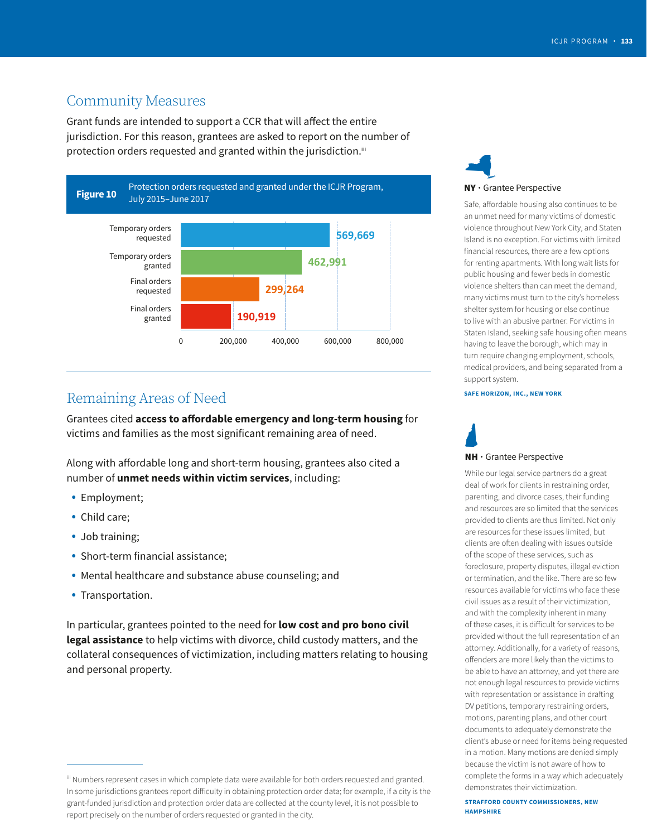### Community Measures

Grant funds are intended to support a CCR that will afect the entire jurisdiction. For this reason, grantees are asked to report on the number of protection orders requested and granted within the jurisdiction.<sup>iii</sup>

![](_page_12_Figure_3.jpeg)

### Remaining Areas of Need

Grantees cited **access to afordable emergency and long-term housing** for victims and families as the most significant remaining area of need.

Along with afordable long and short-term housing, grantees also cited a number of **unmet needs within victim services**, including:

- Employment;
- Child care;
- Job training;
- Short-term financial assistance;
- Mental healthcare and substance abuse counseling; and
- Transportation.

In particular, grantees pointed to the need for **low cost and pro bono civil legal assistance** to help victims with divorce, child custody matters, and the collateral consequences of victimization, including matters relating to housing and personal property.

![](_page_12_Picture_15.jpeg)

Safe, affordable housing also continues to be an unmet need for many victims of domestic violence throughout New York City, and Staten Island is no exception. For victims with limited financial resources, there are a few options for renting apartments. With long wait lists for public housing and fewer beds in domestic violence shelters than can meet the demand, many victims must turn to the city's homeless shelter system for housing or else continue to live with an abusive partner. For victims in Staten Island, seeking safe housing often means having to leave the borough, which may in turn require changing employment, schools, medical providers, and being separated from a support system.

#### **SAFE HORIZON, INC., NEW YORK**

# d NH • Grantee Perspective

While our legal service partners do a great deal of work for clients in restraining order, parenting, and divorce cases, their funding and resources are so limited that the services provided to clients are thus limited. Not only are resources for these issues limited, but clients are often dealing with issues outside of the scope of these services, such as foreclosure, property disputes, illegal eviction or termination, and the like. There are so few resources available for victims who face these civil issues as a result of their victimization, and with the complexity inherent in many of these cases, it is dificult for services to be provided without the full representation of an attorney. Additionally, for a variety of reasons, ofenders are more likely than the victims to be able to have an attorney, and yet there are not enough legal resources to provide victims with representation or assistance in drafting DV petitions, temporary restraining orders, motions, parenting plans, and other court documents to adequately demonstrate the client's abuse or need for items being requested in a motion. Many motions are denied simply because the victim is not aware of how to complete the forms in a way which adequately demonstrates their victimization.

**STRAFFORD COUNTY COMMISSIONERS, NEW HAMPSHIRE** 

iii Numbers represent cases in which complete data were available for both orders requested and granted. In some jurisdictions grantees report dificulty in obtaining protection order data; for example, if a city is the grant-funded jurisdiction and protection order data are collected at the county level, it is not possible to report precisely on the number of orders requested or granted in the city.